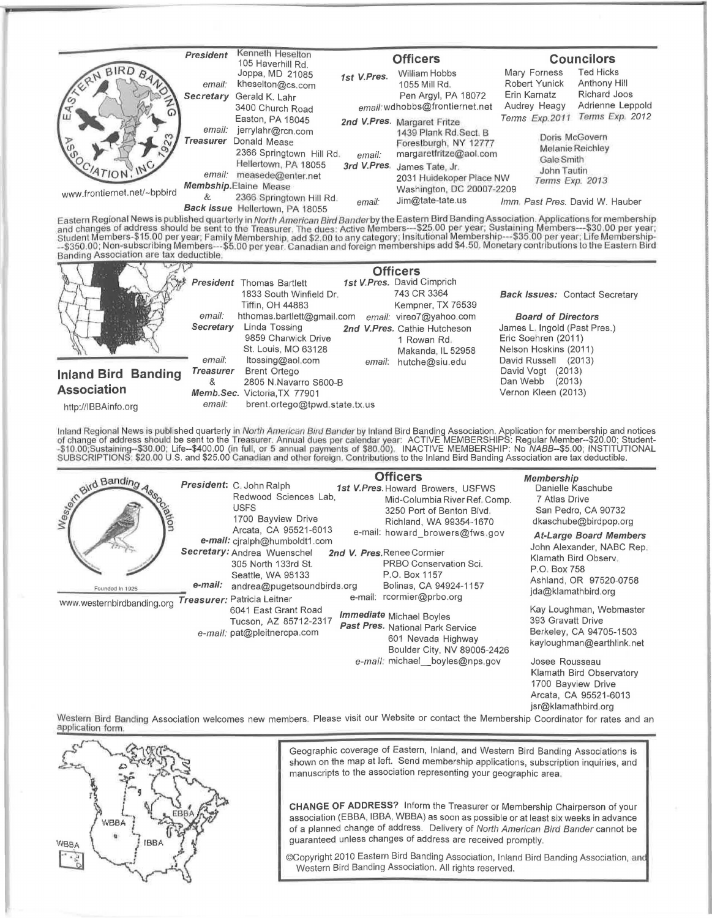

Eastern Regional News is published quarterly in *North American Bird Bander* by the Eastern Bird Banding Association. Applications for membership<br>and changes of address should be sent to the Treasurer. The dues: Active Mem Banding Association are tax deductible.



Inland Regional News is published quarterly in North American Bird Bander by Inland Bird Banding Association. Application for membership and notices<br>of change of address should be sent to the Treasurer. Annual dues per cal

| and Banding<br><b>Fiol</b><br>Founded In 1925<br>www.westernbirdbanding.org |         | President: C. John Ralph<br>Redwood Sciences Lab.                                                                                                                                                                                                     |         | <b>Officers</b><br>1st V.Pres. Howard Browers, USFWS<br>Mid-Columbia River Ref. Comp.                                                                                                                                                                                      | Membership<br>Danielle Kaschube<br>7 Atlas Drive                                                                                                    |
|-----------------------------------------------------------------------------|---------|-------------------------------------------------------------------------------------------------------------------------------------------------------------------------------------------------------------------------------------------------------|---------|----------------------------------------------------------------------------------------------------------------------------------------------------------------------------------------------------------------------------------------------------------------------------|-----------------------------------------------------------------------------------------------------------------------------------------------------|
|                                                                             |         | <b>USFS</b><br>1700 Bayview Drive<br>Arcata, CA 95521-6013                                                                                                                                                                                            |         | 3250 Port of Benton Blvd.<br>Richland, WA 99354-1670                                                                                                                                                                                                                       | San Pedro, CA 90732<br>dkaschube@birdpop.org                                                                                                        |
|                                                                             | e-mail: | e-mail: cjralph@humboldt1.com<br>Secretary: Andrea Wuenschel<br>305 North 133rd St.<br>Seattle, WA 98133<br>andrea@pugetsoundbirds.org<br>Treasurer: Patricia Leitner<br>6041 East Grant Road<br>Tucson, AZ 85712-2317<br>e-mail: pat@pleitnercpa.com | e-mail: | e-mail: howard_browers@fws.gov<br>2nd V. Pres.Renee Cormier<br>PRBO Conservation Sci.<br>P.O. Box 1157<br>Bolinas, CA 94924-1157<br>rcormier@prbo.org<br>Immediate Michael Boyles<br>Past Pres. National Park Service<br>601 Nevada Highway<br>Boulder City, NV 89005-2426 | <b>At-Large Board Members</b><br>John Alexander, NABC Rep.<br>Klamath Bird Observ.<br>P.O. Box 758<br>Ashland, OR 97520-0758<br>jda@klamathbird.org |
|                                                                             |         |                                                                                                                                                                                                                                                       |         |                                                                                                                                                                                                                                                                            | Kay Loughman, Webmaster<br>393 Gravatt Drive<br>Berkeley, CA 94705-1503<br>kayloughman@earthlink.net                                                |
|                                                                             |         |                                                                                                                                                                                                                                                       |         | e-mail: michael boyles@nps.gov                                                                                                                                                                                                                                             | Josee Rousseau<br>Klamath Bird Observatory<br>1700 Bayview Drive<br>Arcata, CA 95521-6013                                                           |

Western Bird Banding Association welcomes new members. Please visit our Website or contact the Membership Coordinator for rates and an application form.



Geographic coverage of Eastern, Inland, and Western Bird Banding Associations is shown on the map at left. Send membership applications, subscription inquiries, and manuscripts to the association representing your geographic area.

jsr@klamathbird.org

CHANGE OF ADDRESS? Inform the Treasurer or Membership Chairperson of your association (EBBA, IBBA, WBBA) as soon as possible or at least six weeks in advance of a planned change of address. Delivery of North American Bird Bander cannot be guaranteed unless changes of address are received promptly.

©Copyright 2010 Eastern Bird Banding Association, Inland Bird Banding Association, and Western Bird Banding Association. All rights reserved.